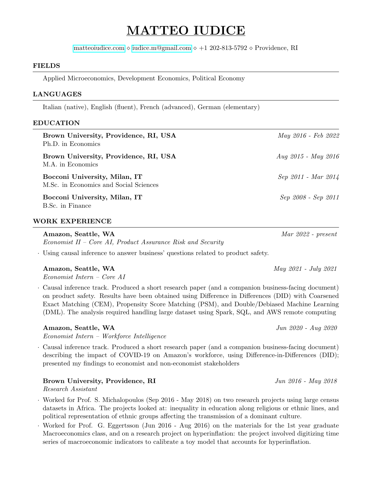# MATTEO IUDICE

[matteoiudice.com](www.matteoiudice.com)  $\Diamond$  [iudice.m@gmail.com](mailto:iudice.m@gmail.com)  $\Diamond$  +1 202-813-5792  $\Diamond$  Providence, RI

#### FIELDS

Applied Microeconomics, Development Economics, Political Economy

#### LANGUAGES

Italian (native), English (fluent), French (advanced), German (elementary)

#### EDUCATION

| Brown University, Providence, RI, USA<br>Ph.D. in Economics             | May 2016 - Feb 2022 |
|-------------------------------------------------------------------------|---------------------|
| Brown University, Providence, RI, USA<br>M.A. in Economics              | Aug 2015 - May 2016 |
| Bocconi University, Milan, IT<br>M.Sc. in Economics and Social Sciences | Sep 2011 - Mar 2014 |
| Bocconi University, Milan, IT<br>B.Sc. in Finance                       | Sep 2008 - Sep 2011 |

#### WORK EXPERIENCE

Amazon, Seattle, WA Mar 2022 - present Economist II – Core AI, Product Assurance Risk and Security

· Using causal inference to answer business' questions related to product safety.

#### Amazon, Seattle, WA May 2021 - July 2021

Economist Intern – Core AI

· Causal inference track. Produced a short research paper (and a companion business-facing document) on product safety. Results have been obtained using Difference in Differences (DID) with Coarsened Exact Matching (CEM), Propensity Score Matching (PSM), and Double/Debiased Machine Learning (DML). The analysis required handling large dataset using Spark, SQL, and AWS remote computing

#### Amazon, Seattle, WA Jun 2020 - Aug 2020

Economist Intern – Workforce Intelligence

· Causal inference track. Produced a short research paper (and a companion business-facing document) describing the impact of COVID-19 on Amazon's workforce, using Difference-in-Differences (DID); presented my findings to economist and non-economist stakeholders

### Brown University, Providence, RI Jun 2016 - May 2018

Research Assistant

- · Worked for Prof. S. Michalopoulos (Sep 2016 May 2018) on two research projects using large census datasets in Africa. The projects looked at: inequality in education along religious or ethnic lines, and political representation of ethnic groups affecting the transmission of a dominant culture.
- · Worked for Prof. G. Eggertsson (Jun 2016 Aug 2016) on the materials for the 1st year graduate Macroeconomics class, and on a research project on hyperinflation: the project involved digitizing time series of macroeconomic indicators to calibrate a toy model that accounts for hyperinflation.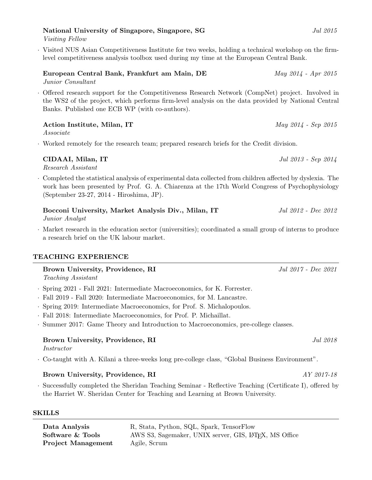## National University of Singapore, Singapore, SG  $Jul 2015$

Visiting Fellow

· Visited NUS Asian Competitiveness Institute for two weeks, holding a technical workshop on the firmlevel competitiveness analysis toolbox used during my time at the European Central Bank.

European Central Bank, Frankfurt am Main, DE May 2014 - Apr 2015 Junior Consultant

· Offered research support for the Competitiveness Research Network (CompNet) project. Involved in the WS2 of the project, which performs firm-level analysis on the data provided by National Central Banks. Published one ECB WP (with co-authors).

### Action Institute, Milan, IT May 2014 - Sep 2015

Associate

· Worked remotely for the research team; prepared research briefs for the Credit division.

### CIDAAI, Milan, IT  $Jul \, 2013$  - Sep 2014

Research Assistant

- · Completed the statistical analysis of experimental data collected from children affected by dyslexia. The work has been presented by Prof. G. A. Chiarenza at the 17th World Congress of Psychophysiology (September 23-27, 2014 - Hiroshima, JP).
- Bocconi University, Market Analysis Div., Milan, IT Jul 2012 Dec 2012

Junior Analyst

· Market research in the education sector (universities); coordinated a small group of interns to produce a research brief on the UK labour market.

### TEACHING EXPERIENCE

Brown University, Providence, RI Jul 2017 - Dec 2021

- Teaching Assistant
- · Spring 2021 Fall 2021: Intermediate Macroeconomics, for K. Forrester.
- · Fall 2019 Fall 2020: Intermediate Macroeconomics, for M. Lancastre.
- · Spring 2019: Intermediate Macroeconomics, for Prof. S. Michalopoulos.
- · Fall 2018: Intermediate Macroeconomics, for Prof. P. Michaillat.
- · Summer 2017: Game Theory and Introduction to Macroeconomics, pre-college classes.

### Brown University, Providence, RI Jul 2018

Instructor

· Co-taught with A. Kilani a three-weeks long pre-college class, "Global Business Environment".

### Brown University, Providence, RI AY 2017-18

· Successfully completed the Sheridan Teaching Seminar - Reflective Teaching (Certificate I), offered by the Harriet W. Sheridan Center for Teaching and Learning at Brown University.

### **SKILLS**

| Data Analysis             | R, Stata, Python, SQL, Spark, TensorFlow                           |
|---------------------------|--------------------------------------------------------------------|
| Software & Tools          | AWS S3, Sagemaker, UNIX server, GIS, LAT <sub>EX</sub> , MS Office |
| <b>Project Management</b> | Agile, Scrum                                                       |